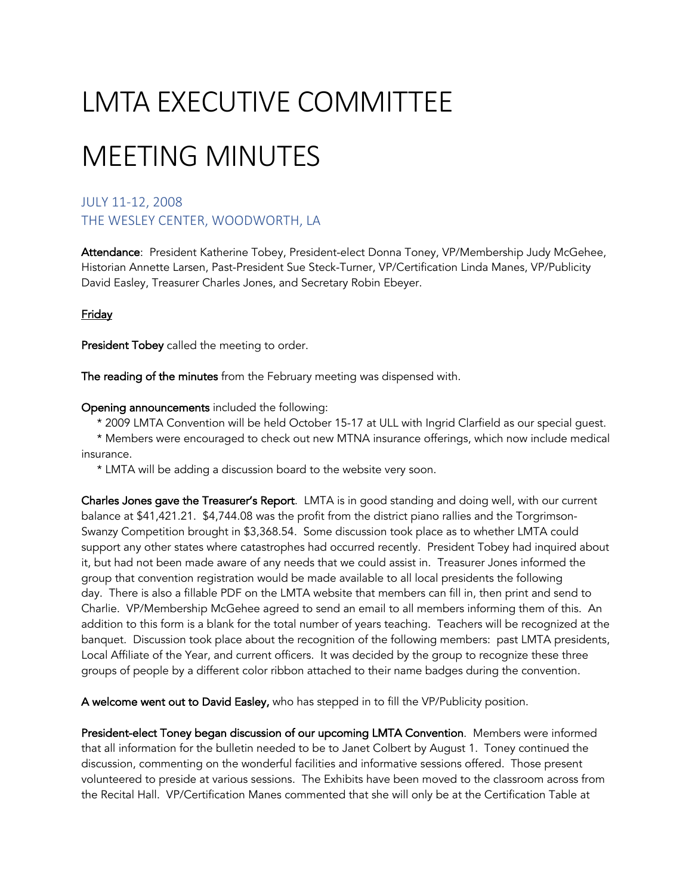# LMTA EXECUTIVE COMMITTEE

## MEETING MINUTES

### JULY 11-12, 2008 THE WESLEY CENTER, WOODWORTH, LA

Attendance: President Katherine Tobey, President-elect Donna Toney, VP/Membership Judy McGehee, Historian Annette Larsen, Past-President Sue Steck-Turner, VP/Certification Linda Manes, VP/Publicity David Easley, Treasurer Charles Jones, and Secretary Robin Ebeyer.

#### **Friday**

President Tobey called the meeting to order.

The reading of the minutes from the February meeting was dispensed with.

#### Opening announcements included the following:

\* 2009 LMTA Convention will be held October 15-17 at ULL with Ingrid Clarfield as our special guest.

 \* Members were encouraged to check out new MTNA insurance offerings, which now include medical insurance.

\* LMTA will be adding a discussion board to the website very soon.

Charles Jones gave the Treasurer's Report. LMTA is in good standing and doing well, with our current balance at \$41,421.21. \$4,744.08 was the profit from the district piano rallies and the Torgrimson-Swanzy Competition brought in \$3,368.54. Some discussion took place as to whether LMTA could support any other states where catastrophes had occurred recently. President Tobey had inquired about it, but had not been made aware of any needs that we could assist in. Treasurer Jones informed the group that convention registration would be made available to all local presidents the following day. There is also a fillable PDF on the LMTA website that members can fill in, then print and send to Charlie. VP/Membership McGehee agreed to send an email to all members informing them of this. An addition to this form is a blank for the total number of years teaching. Teachers will be recognized at the banquet. Discussion took place about the recognition of the following members: past LMTA presidents, Local Affiliate of the Year, and current officers. It was decided by the group to recognize these three groups of people by a different color ribbon attached to their name badges during the convention.

A welcome went out to David Easley, who has stepped in to fill the VP/Publicity position.

President-elect Toney began discussion of our upcoming LMTA Convention. Members were informed that all information for the bulletin needed to be to Janet Colbert by August 1. Toney continued the discussion, commenting on the wonderful facilities and informative sessions offered. Those present volunteered to preside at various sessions. The Exhibits have been moved to the classroom across from the Recital Hall. VP/Certification Manes commented that she will only be at the Certification Table at